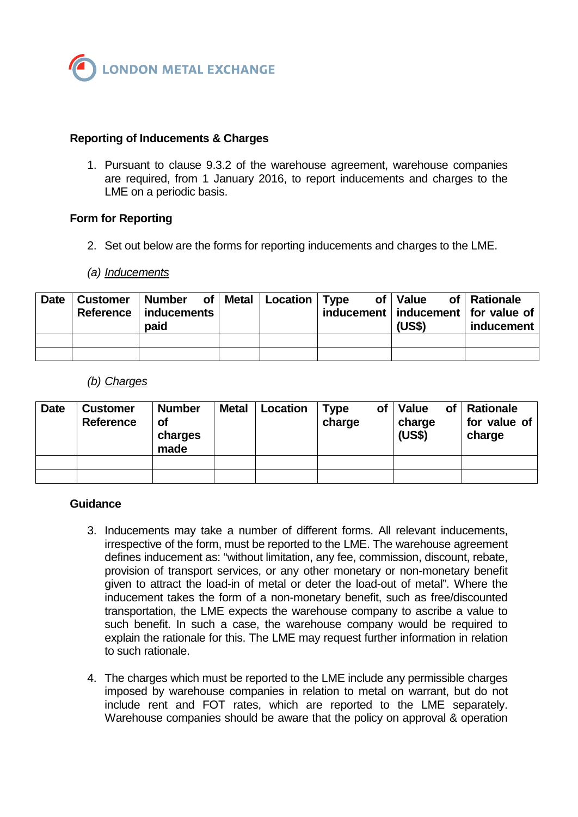

# **Reporting of Inducements & Charges**

1. Pursuant to clause 9.3.2 of the warehouse agreement, warehouse companies are required, from 1 January 2016, to report inducements and charges to the LME on a periodic basis.

## **Form for Reporting**

2. Set out below are the forms for reporting inducements and charges to the LME.

## *(a) Inducements*

| Date | Customer   Number of   Metal   Location   Type<br>Reference   inducements  <br>paid |  | of   Value<br>inducement   inducement   for value of  <br>(US\$) | of   Rationale<br>inducement |
|------|-------------------------------------------------------------------------------------|--|------------------------------------------------------------------|------------------------------|
|      |                                                                                     |  |                                                                  |                              |
|      |                                                                                     |  |                                                                  |                              |

## *(b) Charges*

| <b>Date</b> | <b>Customer</b><br>Reference | <b>Number</b><br>оf<br>charges<br>made | <b>Metal</b> | Location | <b>Type</b><br>charge | of <sub>l</sub> | of <sub>l</sub><br><b>Value</b><br>charge<br>(US\$) | <b>Rationale</b><br>for value of<br>charge |
|-------------|------------------------------|----------------------------------------|--------------|----------|-----------------------|-----------------|-----------------------------------------------------|--------------------------------------------|
|             |                              |                                        |              |          |                       |                 |                                                     |                                            |
|             |                              |                                        |              |          |                       |                 |                                                     |                                            |

## **Guidance**

- 3. Inducements may take a number of different forms. All relevant inducements, irrespective of the form, must be reported to the LME. The warehouse agreement defines inducement as: "without limitation, any fee, commission, discount, rebate, provision of transport services, or any other monetary or non-monetary benefit given to attract the load-in of metal or deter the load-out of metal". Where the inducement takes the form of a non-monetary benefit, such as free/discounted transportation, the LME expects the warehouse company to ascribe a value to such benefit. In such a case, the warehouse company would be required to explain the rationale for this. The LME may request further information in relation to such rationale.
- 4. The charges which must be reported to the LME include any permissible charges imposed by warehouse companies in relation to metal on warrant, but do not include rent and FOT rates, which are reported to the LME separately. Warehouse companies should be aware that the policy on approval & operation